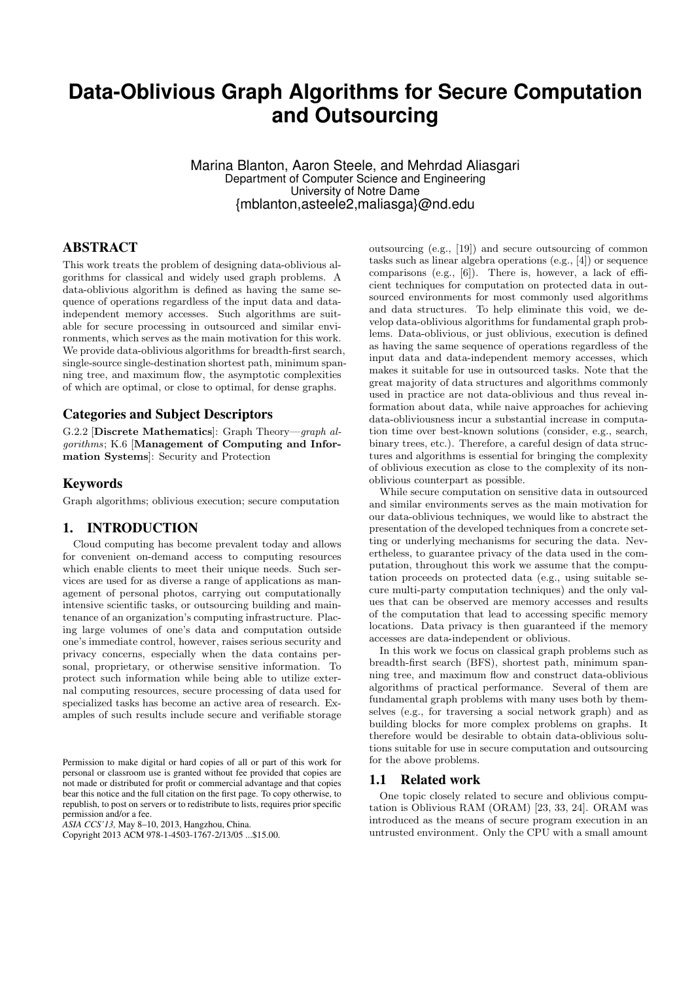# **Data-Oblivious Graph Algorithms for Secure Computation and Outsourcing**

Marina Blanton, Aaron Steele, and Mehrdad Aliasgari Department of Computer Science and Engineering University of Notre Dame {mblanton,asteele2,maliasga}@nd.edu

# ABSTRACT

This work treats the problem of designing data-oblivious algorithms for classical and widely used graph problems. A data-oblivious algorithm is defined as having the same sequence of operations regardless of the input data and dataindependent memory accesses. Such algorithms are suitable for secure processing in outsourced and similar environments, which serves as the main motivation for this work. We provide data-oblivious algorithms for breadth-first search, single-source single-destination shortest path, minimum spanning tree, and maximum flow, the asymptotic complexities of which are optimal, or close to optimal, for dense graphs.

## Categories and Subject Descriptors

G.2.2 [Discrete Mathematics]: Graph Theory—graph algorithms; K.6 [Management of Computing and Information Systems]: Security and Protection

#### Keywords

Graph algorithms; oblivious execution; secure computation

## 1. INTRODUCTION

Cloud computing has become prevalent today and allows for convenient on-demand access to computing resources which enable clients to meet their unique needs. Such services are used for as diverse a range of applications as management of personal photos, carrying out computationally intensive scientific tasks, or outsourcing building and maintenance of an organization's computing infrastructure. Placing large volumes of one's data and computation outside one's immediate control, however, raises serious security and privacy concerns, especially when the data contains personal, proprietary, or otherwise sensitive information. To protect such information while being able to utilize external computing resources, secure processing of data used for specialized tasks has become an active area of research. Examples of such results include secure and verifiable storage

*ASIA CCS'13,* May 8–10, 2013, Hangzhou, China.

outsourcing (e.g., [19]) and secure outsourcing of common tasks such as linear algebra operations (e.g., [4]) or sequence comparisons (e.g., [6]). There is, however, a lack of efficient techniques for computation on protected data in outsourced environments for most commonly used algorithms and data structures. To help eliminate this void, we develop data-oblivious algorithms for fundamental graph problems. Data-oblivious, or just oblivious, execution is defined as having the same sequence of operations regardless of the input data and data-independent memory accesses, which makes it suitable for use in outsourced tasks. Note that the great majority of data structures and algorithms commonly used in practice are not data-oblivious and thus reveal information about data, while naive approaches for achieving data-obliviousness incur a substantial increase in computation time over best-known solutions (consider, e.g., search, binary trees, etc.). Therefore, a careful design of data structures and algorithms is essential for bringing the complexity of oblivious execution as close to the complexity of its nonoblivious counterpart as possible.

While secure computation on sensitive data in outsourced and similar environments serves as the main motivation for our data-oblivious techniques, we would like to abstract the presentation of the developed techniques from a concrete setting or underlying mechanisms for securing the data. Nevertheless, to guarantee privacy of the data used in the computation, throughout this work we assume that the computation proceeds on protected data (e.g., using suitable secure multi-party computation techniques) and the only values that can be observed are memory accesses and results of the computation that lead to accessing specific memory locations. Data privacy is then guaranteed if the memory accesses are data-independent or oblivious.

In this work we focus on classical graph problems such as breadth-first search (BFS), shortest path, minimum spanning tree, and maximum flow and construct data-oblivious algorithms of practical performance. Several of them are fundamental graph problems with many uses both by themselves (e.g., for traversing a social network graph) and as building blocks for more complex problems on graphs. It therefore would be desirable to obtain data-oblivious solutions suitable for use in secure computation and outsourcing for the above problems.

#### 1.1 Related work

One topic closely related to secure and oblivious computation is Oblivious RAM (ORAM) [23, 33, 24]. ORAM was introduced as the means of secure program execution in an untrusted environment. Only the CPU with a small amount

Permission to make digital or hard copies of all or part of this work for personal or classroom use is granted without fee provided that copies are not made or distributed for profit or commercial advantage and that copies bear this notice and the full citation on the first page. To copy otherwise, to republish, to post on servers or to redistribute to lists, requires prior specific permission and/or a fee.

Copyright 2013 ACM 978-1-4503-1767-2/13/05 ...\$15.00.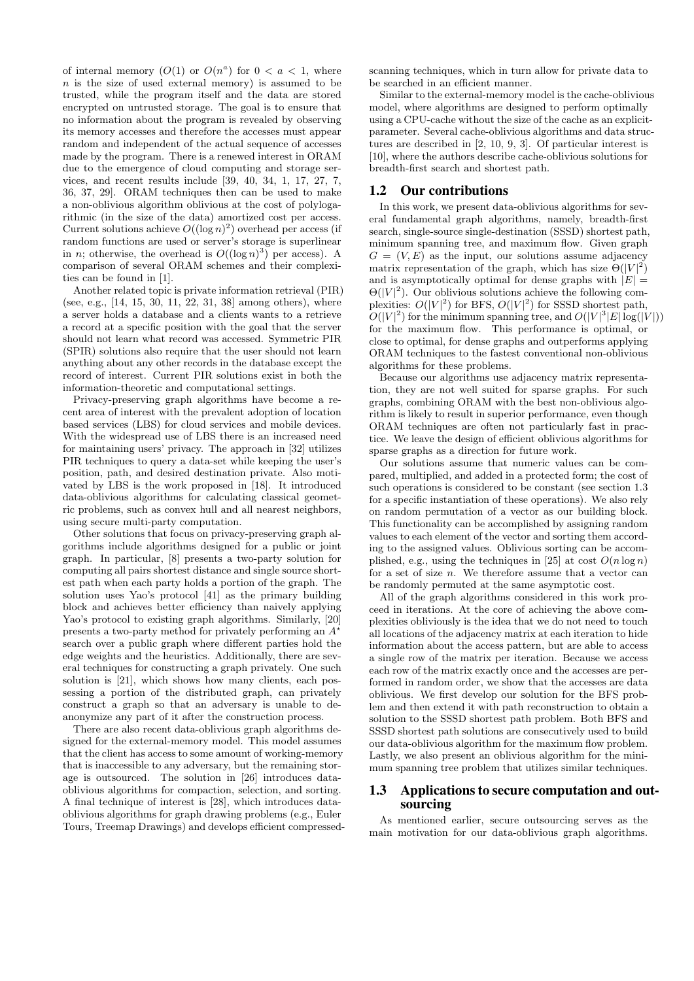of internal memory  $(O(1)$  or  $O(n^a)$  for  $0 < a < 1$ , where  $n$  is the size of used external memory) is assumed to be trusted, while the program itself and the data are stored encrypted on untrusted storage. The goal is to ensure that no information about the program is revealed by observing its memory accesses and therefore the accesses must appear random and independent of the actual sequence of accesses made by the program. There is a renewed interest in ORAM due to the emergence of cloud computing and storage services, and recent results include [39, 40, 34, 1, 17, 27, 7, 36, 37, 29]. ORAM techniques then can be used to make a non-oblivious algorithm oblivious at the cost of polylogarithmic (in the size of the data) amortized cost per access. Current solutions achieve  $O((\log n)^2)$  overhead per access (if random functions are used or server's storage is superlinear in *n*; otherwise, the overhead is  $O((\log n)^3)$  per access). A comparison of several ORAM schemes and their complexities can be found in [1].

Another related topic is private information retrieval (PIR) (see, e.g., [14, 15, 30, 11, 22, 31, 38] among others), where a server holds a database and a clients wants to a retrieve a record at a specific position with the goal that the server should not learn what record was accessed. Symmetric PIR (SPIR) solutions also require that the user should not learn anything about any other records in the database except the record of interest. Current PIR solutions exist in both the information-theoretic and computational settings.

Privacy-preserving graph algorithms have become a recent area of interest with the prevalent adoption of location based services (LBS) for cloud services and mobile devices. With the widespread use of LBS there is an increased need for maintaining users' privacy. The approach in [32] utilizes PIR techniques to query a data-set while keeping the user's position, path, and desired destination private. Also motivated by LBS is the work proposed in [18]. It introduced data-oblivious algorithms for calculating classical geometric problems, such as convex hull and all nearest neighbors, using secure multi-party computation.

Other solutions that focus on privacy-preserving graph algorithms include algorithms designed for a public or joint graph. In particular, [8] presents a two-party solution for computing all pairs shortest distance and single source shortest path when each party holds a portion of the graph. The solution uses Yao's protocol [41] as the primary building block and achieves better efficiency than naively applying Yao's protocol to existing graph algorithms. Similarly, [20] presents a two-party method for privately performing an  $A^*$ search over a public graph where different parties hold the edge weights and the heuristics. Additionally, there are several techniques for constructing a graph privately. One such solution is [21], which shows how many clients, each possessing a portion of the distributed graph, can privately construct a graph so that an adversary is unable to deanonymize any part of it after the construction process.

There are also recent data-oblivious graph algorithms designed for the external-memory model. This model assumes that the client has access to some amount of working-memory that is inaccessible to any adversary, but the remaining storage is outsourced. The solution in [26] introduces dataoblivious algorithms for compaction, selection, and sorting. A final technique of interest is [28], which introduces dataoblivious algorithms for graph drawing problems (e.g., Euler Tours, Treemap Drawings) and develops efficient compressed-

scanning techniques, which in turn allow for private data to be searched in an efficient manner.

Similar to the external-memory model is the cache-oblivious model, where algorithms are designed to perform optimally using a CPU-cache without the size of the cache as an explicitparameter. Several cache-oblivious algorithms and data structures are described in [2, 10, 9, 3]. Of particular interest is [10], where the authors describe cache-oblivious solutions for breadth-first search and shortest path.

## 1.2 Our contributions

In this work, we present data-oblivious algorithms for several fundamental graph algorithms, namely, breadth-first search, single-source single-destination (SSSD) shortest path, minimum spanning tree, and maximum flow. Given graph  $G = (V, E)$  as the input, our solutions assume adjacency matrix representation of the graph, which has size  $\Theta(|V|^2)$ and is asymptotically optimal for dense graphs with  $|E|$  =  $\Theta(|V|^2)$ . Our oblivious solutions achieve the following complexities:  $O(|V|^2)$  for BFS,  $O(|V|^2)$  for SSSD shortest path,  $O(|V|^2)$  for the minimum spanning tree, and  $O(|V|^3|E|\log(|V|))$ for the maximum flow. This performance is optimal, or close to optimal, for dense graphs and outperforms applying ORAM techniques to the fastest conventional non-oblivious algorithms for these problems.

Because our algorithms use adjacency matrix representation, they are not well suited for sparse graphs. For such graphs, combining ORAM with the best non-oblivious algorithm is likely to result in superior performance, even though ORAM techniques are often not particularly fast in practice. We leave the design of efficient oblivious algorithms for sparse graphs as a direction for future work.

Our solutions assume that numeric values can be compared, multiplied, and added in a protected form; the cost of such operations is considered to be constant (see section 1.3 for a specific instantiation of these operations). We also rely on random permutation of a vector as our building block. This functionality can be accomplished by assigning random values to each element of the vector and sorting them according to the assigned values. Oblivious sorting can be accomplished, e.g., using the techniques in [25] at cost  $O(n \log n)$ for a set of size  $n$ . We therefore assume that a vector can be randomly permuted at the same asymptotic cost.

All of the graph algorithms considered in this work proceed in iterations. At the core of achieving the above complexities obliviously is the idea that we do not need to touch all locations of the adjacency matrix at each iteration to hide information about the access pattern, but are able to access a single row of the matrix per iteration. Because we access each row of the matrix exactly once and the accesses are performed in random order, we show that the accesses are data oblivious. We first develop our solution for the BFS problem and then extend it with path reconstruction to obtain a solution to the SSSD shortest path problem. Both BFS and SSSD shortest path solutions are consecutively used to build our data-oblivious algorithm for the maximum flow problem. Lastly, we also present an oblivious algorithm for the minimum spanning tree problem that utilizes similar techniques.

## 1.3 Applications to secure computation and outsourcing

As mentioned earlier, secure outsourcing serves as the main motivation for our data-oblivious graph algorithms.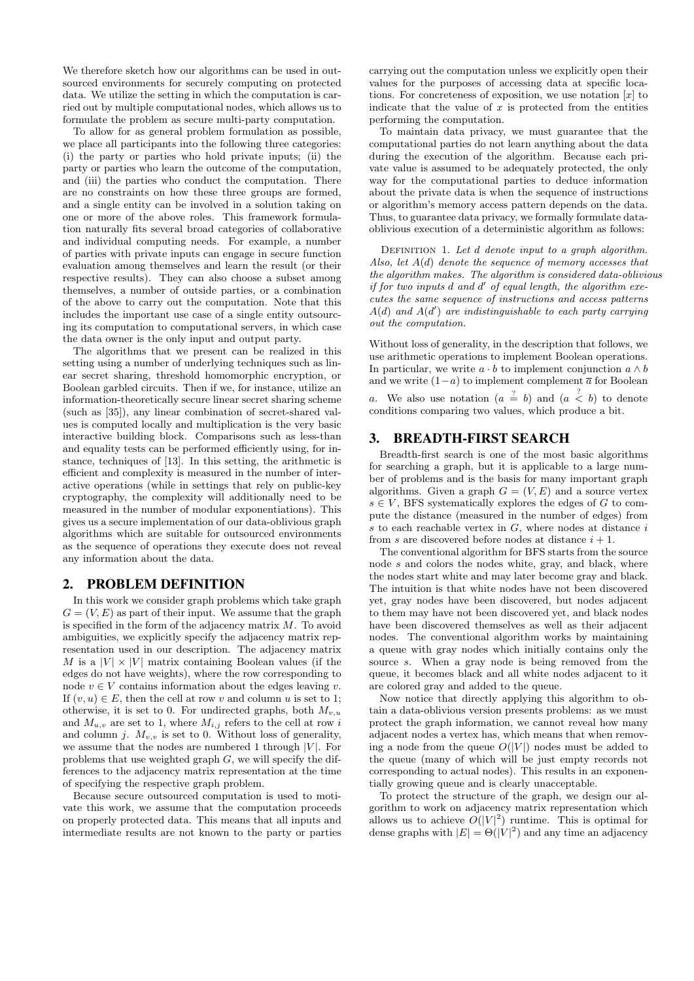We therefore sketch how our algorithms can be used in outsourced environments for securely computing on protected data. We utilize the setting in which the computation is carried out by multiple computational nodes, which allows us to formulate the problem as secure multi-party computation.

To allow for as general problem formulation as possible, we place all participants into the following three categories: (i) the party or parties who hold private inputs; (ii) the party or parties who learn the outcome of the computation, and (iii) the parties who conduct the computation. There are no constraints on how these three groups are formed, and a single entity can be involved in a solution taking on one or more of the above roles. This framework formulation naturally fits several broad categories of collaborative and individual computing needs. For example, a number of parties with private inputs can engage in secure function evaluation among themselves and learn the result (or their respective results). They can also choose a subset among themselves, a number of outside parties, or a combination of the above to carry out the computation. Note that this includes the important use case of a single entity outsourcing its computation to computational servers, in which case the data owner is the only input and output party.

The algorithms that we present can be realized in this setting using a number of underlying techniques such as linear secret sharing, threshold homomorphic encryption, or Boolean garbled circuits. Then if we, for instance, utilize an information-theoretically secure linear secret sharing scheme (such as [35]), any linear combination of secret-shared values is computed locally and multiplication is the very basic interactive building block. Comparisons such as less-than and equality tests can be performed efficiently using, for instance, techniques of [13]. In this setting, the arithmetic is efficient and complexity is measured in the number of interactive operations (while in settings that rely on public-key cryptography, the complexity will additionally need to be measured in the number of modular exponentiations). This gives us a secure implementation of our data-oblivious graph algorithms which are suitable for outsourced environments as the sequence of operations they execute does not reveal any information about the data.

#### 2. PROBLEM DEFINITION

In this work we consider graph problems which take graph  $G = (V, E)$  as part of their input. We assume that the graph is specified in the form of the adjacency matrix  $M$ . To avoid ambiguities, we explicitly specify the adjacency matrix representation used in our description. The adjacency matrix M is a  $|V| \times |V|$  matrix containing Boolean values (if the edges do not have weights), where the row corresponding to node  $v \in V$  contains information about the edges leaving v. If  $(v, u) \in E$ , then the cell at row v and column u is set to 1; otherwise, it is set to 0. For undirected graphs, both  $M_{v,u}$ and  $\mathcal{M}_{u,v}$  are set to 1, where  $\mathcal{M}_{i,j}$  refers to the cell at row  $i$ and column j.  $M_{v,v}$  is set to 0. Without loss of generality, we assume that the nodes are numbered 1 through  $|V|$ . For problems that use weighted graph  $G$ , we will specify the differences to the adjacency matrix representation at the time of specifying the respective graph problem.

Because secure outsourced computation is used to motivate this work, we assume that the computation proceeds on properly protected data. This means that all inputs and intermediate results are not known to the party or parties

carrying out the computation unless we explicitly open their values for the purposes of accessing data at specific locations. For concreteness of exposition, we use notation  $[x]$  to indicate that the value of  $x$  is protected from the entities performing the computation.

To maintain data privacy, we must guarantee that the computational parties do not learn anything about the data during the execution of the algorithm. Because each private value is assumed to be adequately protected, the only way for the computational parties to deduce information about the private data is when the sequence of instructions or algorithm's memory access pattern depends on the data. Thus, to guarantee data privacy, we formally formulate dataoblivious execution of a deterministic algorithm as follows:

DEFINITION 1. Let  $d$  denote input to a graph algorithm. Also, let  $A(d)$  denote the sequence of memory accesses that the algorithm makes. The algorithm is considered data-oblivious if for two inputs  $d$  and  $d'$  of equal length, the algorithm executes the same sequence of instructions and access patterns  $A(d)$  and  $A(d')$  are indistinguishable to each party carrying out the computation.

Without loss of generality, in the description that follows, we use arithmetic operations to implement Boolean operations. In particular, we write  $a \cdot b$  to implement conjunction  $a \wedge b$ and we write  $(1-a)$  to implement complement  $\overline{a}$  for Boolean

a. We also use notation  $(a \stackrel{?}{=} b)$  and  $(a \stackrel{?}{<} b)$  to denote conditions comparing two values, which produce a bit.

# 3. BREADTH-FIRST SEARCH

Breadth-first search is one of the most basic algorithms for searching a graph, but it is applicable to a large number of problems and is the basis for many important graph algorithms. Given a graph  $G = (V, E)$  and a source vertex  $s \in V$ , BFS systematically explores the edges of G to compute the distance (measured in the number of edges) from  $s$  to each reachable vertex in  $G$ , where nodes at distance  $i$ from s are discovered before nodes at distance  $i + 1$ .

The conventional algorithm for BFS starts from the source node s and colors the nodes white, gray, and black, where the nodes start white and may later become gray and black. The intuition is that white nodes have not been discovered yet, gray nodes have been discovered, but nodes adjacent to them may have not been discovered yet, and black nodes have been discovered themselves as well as their adjacent nodes. The conventional algorithm works by maintaining a queue with gray nodes which initially contains only the source s. When a gray node is being removed from the queue, it becomes black and all white nodes adjacent to it are colored gray and added to the queue.

Now notice that directly applying this algorithm to obtain a data-oblivious version presents problems: as we must protect the graph information, we cannot reveal how many adjacent nodes a vertex has, which means that when removing a node from the queue  $O(|V|)$  nodes must be added to the queue (many of which will be just empty records not corresponding to actual nodes). This results in an exponentially growing queue and is clearly unacceptable.

To protect the structure of the graph, we design our algorithm to work on adjacency matrix representation which allows us to achieve  $O(|V|^2)$  runtime. This is optimal for dense graphs with  $|E| = \Theta(|V|^2)$  and any time an adjacency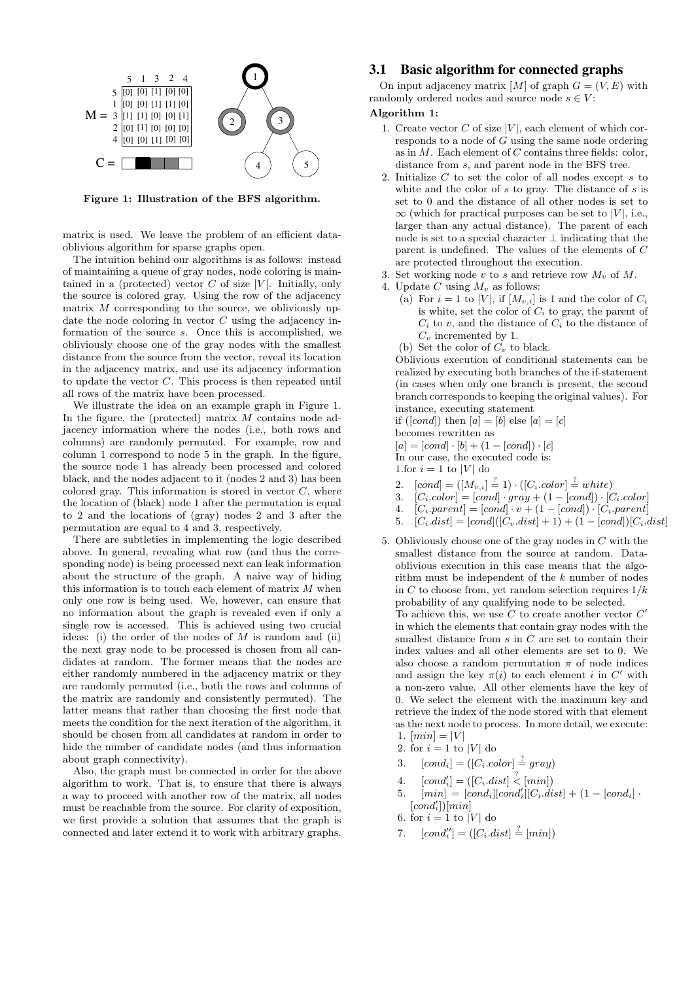

Figure 1: Illustration of the BFS algorithm.

matrix is used. We leave the problem of an efficient dataoblivious algorithm for sparse graphs open.

The intuition behind our algorithms is as follows: instead of maintaining a queue of gray nodes, node coloring is maintained in a (protected) vector  $C$  of size |V|. Initially, only the source is colored gray. Using the row of the adjacency matrix M corresponding to the source, we obliviously update the node coloring in vector C using the adjacency information of the source s. Once this is accomplished, we obliviously choose one of the gray nodes with the smallest distance from the source from the vector, reveal its location in the adjacency matrix, and use its adjacency information to update the vector C. This process is then repeated until all rows of the matrix have been processed.

We illustrate the idea on an example graph in Figure 1. In the figure, the (protected) matrix  $M$  contains node adjacency information where the nodes (i.e., both rows and columns) are randomly permuted. For example, row and column 1 correspond to node 5 in the graph. In the figure, the source node 1 has already been processed and colored black, and the nodes adjacent to it (nodes 2 and 3) has been colored gray. This information is stored in vector  $C$ , where the location of (black) node 1 after the permutation is equal to 2 and the locations of (gray) nodes 2 and 3 after the permutation are equal to 4 and 3, respectively.

There are subtleties in implementing the logic described above. In general, revealing what row (and thus the corresponding node) is being processed next can leak information about the structure of the graph. A naive way of hiding this information is to touch each element of matrix M when only one row is being used. We, however, can ensure that no information about the graph is revealed even if only a single row is accessed. This is achieved using two crucial ideas: (i) the order of the nodes of  $M$  is random and (ii) the next gray node to be processed is chosen from all candidates at random. The former means that the nodes are either randomly numbered in the adjacency matrix or they are randomly permuted (i.e., both the rows and columns of the matrix are randomly and consistently permuted). The latter means that rather than choosing the first node that meets the condition for the next iteration of the algorithm, it should be chosen from all candidates at random in order to hide the number of candidate nodes (and thus information about graph connectivity).

Also, the graph must be connected in order for the above algorithm to work. That is, to ensure that there is always a way to proceed with another row of the matrix, all nodes must be reachable from the source. For clarity of exposition, we first provide a solution that assumes that the graph is connected and later extend it to work with arbitrary graphs.

#### 3.1 Basic algorithm for connected graphs

On input adjacency matrix  $[M]$  of graph  $G = (V, E)$  with randomly ordered nodes and source node  $s \in V$ :

#### Algorithm 1:

- 1. Create vector  $C$  of size  $|V|$ , each element of which corresponds to a node of G using the same node ordering as in  $M$ . Each element of  $C$  contains three fields: color, distance from s, and parent node in the BFS tree.
- 2. Initialize  $C$  to set the color of all nodes except  $s$  to white and the color of  $s$  to gray. The distance of  $s$  is set to 0 and the distance of all other nodes is set to  $\infty$  (which for practical purposes can be set to |V|, i.e., larger than any actual distance). The parent of each node is set to a special character  $\perp$  indicating that the parent is undefined. The values of the elements of C are protected throughout the execution.
- 3. Set working node v to s and retrieve row  $M_v$  of M.
- 4. Update C using  $M_v$  as follows:
	- (a) For  $i = 1$  to |V|, if  $[M_{v,i}]$  is 1 and the color of  $C_i$ is white, set the color of  $C_i$  to gray, the parent of  $C_i$  to v, and the distance of  $C_i$  to the distance of  $C_v$  incremented by 1.
	- (b) Set the color of  $C_v$  to black.

Oblivious execution of conditional statements can be realized by executing both branches of the if-statement (in cases when only one branch is present, the second branch corresponds to keeping the original values). For instance, executing statement

if  $([cond])$  then  $[a] = [b]$  else  $[a] = [c]$ 

- becomes rewritten as
- $[a] = [cond] \cdot [b] + (1 [cond]) \cdot [c]$
- In our case, the executed code is:
- 1.for  $i = 1$  to |V| do
- 2.  $[cond] = ([M_{v,i}] \stackrel{?}{=} 1) \cdot ([C_i.color] \stackrel{?}{=} white)$
- 3.  $[C_i.color] = [cond] \cdot gray + (1 [cond]) \cdot [C_i.color]$
- 4.  $[C_i.parent] = [cond] \cdot v + (1 [cond]) \cdot [C_i.parent]$
- 5.  $[C_i.dist] = [cond]([C_v.dist] + 1) + (1 [cond])[C_i.dist]$
- 5. Obliviously choose one of the gray nodes in C with the smallest distance from the source at random. Dataoblivious execution in this case means that the algorithm must be independent of the k number of nodes in  $C$  to choose from, yet random selection requires  $1/k$ probability of any qualifying node to be selected. To achieve this, we use  $C$  to create another vector  $C'$ in which the elements that contain gray nodes with the smallest distance from  $s$  in  $C$  are set to contain their index values and all other elements are set to 0. We also choose a random permutation  $\pi$  of node indices and assign the key  $\pi(i)$  to each element i in C' with a non-zero value. All other elements have the key of 0. We select the element with the maximum key and retrieve the index of the node stored with that element as the next node to process. In more detail, we execute: 1.  $\lceil min \rceil = |V|$ 
	- 2. for  $i = 1$  to |V| do

3. 
$$
[cond_i] = ([C_i.color] \stackrel{?}{=} gray)
$$

- 4.  $[cond'_i] = ([C_i.dist] \stackrel{?}{\leq} [min])$
- 5.  $[min] = [cond_i][cond_i'][C_i.dist] + (1 [cond_i] \cdot )$  $[cond_i'])[min]$
- 6. for  $i=1$  to  $\dot{|V|}$  do
- 7.  $[cond''_i] = ([C_i.dist] \stackrel{?}{=} [min])$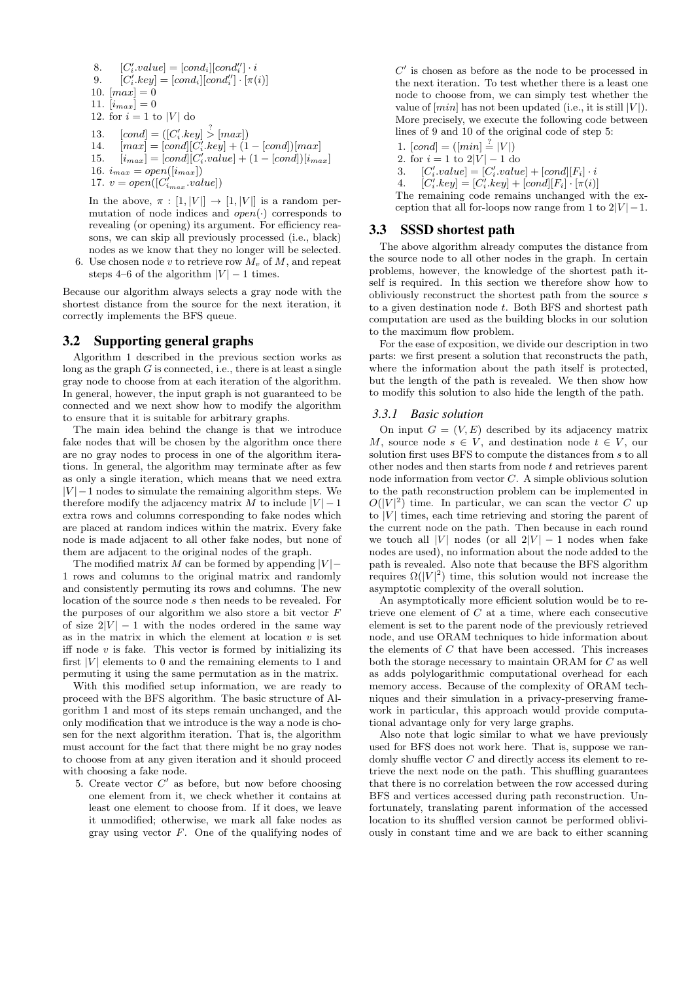- 8.  $[C'_i.value] = [cond_i][cond''_i] \cdot i$ 9.  $[C'_i \text{.} key] = [cond_i][cond''_i] \cdot [\pi(i)]$ 10.  $[max] = 0$ 11.  $[i_{max}] = 0$ 12. for  $i = 1$  to |V| do 13.  $[cond] = ([C'_i.key] \stackrel{?}{>} [max])$ 14.  $[max] = [cond][C_i' \text{.} key] + (1 - [cond])[max]$ 15.  $[i_{max}] = [cond][C'_{i}.value] + (1 - [cond])[i_{max}]$ 16.  $i_{max} = open([i_{max}])$
- 17.  $v = open([C'_{i_{max}}.value])$

In the above,  $\pi : [1, |V|] \rightarrow [1, |V|]$  is a random permutation of node indices and  $open(\cdot)$  corresponds to revealing (or opening) its argument. For efficiency reasons, we can skip all previously processed (i.e., black) nodes as we know that they no longer will be selected.

6. Use chosen node v to retrieve row  $M_v$  of M, and repeat steps 4–6 of the algorithm  $|V| - 1$  times.

Because our algorithm always selects a gray node with the shortest distance from the source for the next iteration, it correctly implements the BFS queue.

## 3.2 Supporting general graphs

Algorithm 1 described in the previous section works as long as the graph  $G$  is connected, i.e., there is at least a single gray node to choose from at each iteration of the algorithm. In general, however, the input graph is not guaranteed to be connected and we next show how to modify the algorithm to ensure that it is suitable for arbitrary graphs.

The main idea behind the change is that we introduce fake nodes that will be chosen by the algorithm once there are no gray nodes to process in one of the algorithm iterations. In general, the algorithm may terminate after as few as only a single iteration, which means that we need extra  $|V| - 1$  nodes to simulate the remaining algorithm steps. We therefore modify the adjacency matrix M to include  $|V| - 1$ extra rows and columns corresponding to fake nodes which are placed at random indices within the matrix. Every fake node is made adjacent to all other fake nodes, but none of them are adjacent to the original nodes of the graph.

The modified matrix M can be formed by appending  $|V|$  – 1 rows and columns to the original matrix and randomly and consistently permuting its rows and columns. The new location of the source node s then needs to be revealed. For the purposes of our algorithm we also store a bit vector  $F$ of size  $2|V| - 1$  with the nodes ordered in the same way as in the matrix in which the element at location  $v$  is set iff node  $v$  is fake. This vector is formed by initializing its first  $|V|$  elements to 0 and the remaining elements to 1 and permuting it using the same permutation as in the matrix.

With this modified setup information, we are ready to proceed with the BFS algorithm. The basic structure of Algorithm 1 and most of its steps remain unchanged, and the only modification that we introduce is the way a node is chosen for the next algorithm iteration. That is, the algorithm must account for the fact that there might be no gray nodes to choose from at any given iteration and it should proceed with choosing a fake node.

5. Create vector  $C'$  as before, but now before choosing one element from it, we check whether it contains at least one element to choose from. If it does, we leave it unmodified; otherwise, we mark all fake nodes as gray using vector  $F$ . One of the qualifying nodes of

 $C'$  is chosen as before as the node to be processed in the next iteration. To test whether there is a least one node to choose from, we can simply test whether the value of  $[min]$  has not been updated (i.e., it is still  $|V|$ ). More precisely, we execute the following code between lines of 9 and 10 of the original code of step 5:

- 1.  $[cond] = ([min] \stackrel{?}{=} |V|)$
- 2. for  $i = 1$  to  $2|V| 1$  do
- 3.  $[C'_i.value] = [C'_i.value] + [cond][F_i] \cdot i$
- 4.  $[C'_i \text{.} key] = [C'_i \text{.} key] + [cond][F_i] \cdot [\pi(i)]$

The remaining code remains unchanged with the exception that all for-loops now range from 1 to  $2|V| - 1$ .

## 3.3 SSSD shortest path

The above algorithm already computes the distance from the source node to all other nodes in the graph. In certain problems, however, the knowledge of the shortest path itself is required. In this section we therefore show how to obliviously reconstruct the shortest path from the source s to a given destination node t. Both BFS and shortest path computation are used as the building blocks in our solution to the maximum flow problem.

For the ease of exposition, we divide our description in two parts: we first present a solution that reconstructs the path, where the information about the path itself is protected, but the length of the path is revealed. We then show how to modify this solution to also hide the length of the path.

#### *3.3.1 Basic solution*

On input  $G = (V, E)$  described by its adjacency matrix M, source node  $s \in V$ , and destination node  $t \in V$ , our solution first uses BFS to compute the distances from s to all other nodes and then starts from node t and retrieves parent node information from vector C. A simple oblivious solution to the path reconstruction problem can be implemented in  $O(|V|^2)$  time. In particular, we can scan the vector C up to  $|V|$  times, each time retrieving and storing the parent of the current node on the path. Then because in each round we touch all |V| nodes (or all  $2|V| - 1$  nodes when fake nodes are used), no information about the node added to the path is revealed. Also note that because the BFS algorithm requires  $\Omega(|V|^2)$  time, this solution would not increase the asymptotic complexity of the overall solution.

An asymptotically more efficient solution would be to retrieve one element of  $C$  at a time, where each consecutive element is set to the parent node of the previously retrieved node, and use ORAM techniques to hide information about the elements of C that have been accessed. This increases both the storage necessary to maintain ORAM for C as well as adds polylogarithmic computational overhead for each memory access. Because of the complexity of ORAM techniques and their simulation in a privacy-preserving framework in particular, this approach would provide computational advantage only for very large graphs.

Also note that logic similar to what we have previously used for BFS does not work here. That is, suppose we randomly shuffle vector  $C$  and directly access its element to retrieve the next node on the path. This shuffling guarantees that there is no correlation between the row accessed during BFS and vertices accessed during path reconstruction. Unfortunately, translating parent information of the accessed location to its shuffled version cannot be performed obliviously in constant time and we are back to either scanning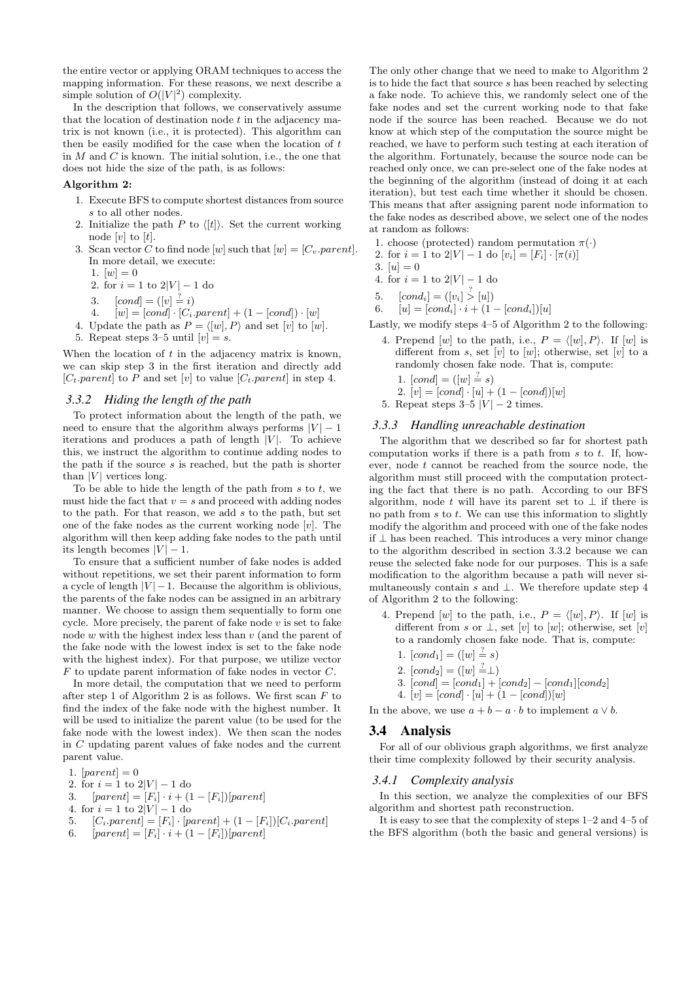the entire vector or applying ORAM techniques to access the mapping information. For these reasons, we next describe a simple solution of  $O(|V|^2)$  complexity.

In the description that follows, we conservatively assume that the location of destination node  $t$  in the adjacency matrix is not known (i.e., it is protected). This algorithm can then be easily modified for the case when the location of  $t$ in  $M$  and  $C$  is known. The initial solution, i.e., the one that does not hide the size of the path, is as follows:

## Algorithm 2:

- 1. Execute BFS to compute shortest distances from source s to all other nodes.
- 2. Initialize the path P to  $\langle |t| \rangle$ . Set the current working node  $[v]$  to  $[t]$ .
- 3. Scan vector C to find node  $[w]$  such that  $[w] = [C_v.parent]$ . In more detail, we execute:
	- 1.  $[w] = 0$
	- 2. for  $i = 1$  to  $2|V| 1$  do
	- 3.  $[cond] = ([v] \stackrel{?}{=} i)$
	- 4.  $[w] = [cond] \cdot [C_i.parent] + (1 [cond]) \cdot [w]$
- 4. Update the path as  $P = \langle [w], P \rangle$  and set  $[v]$  to  $[w]$ .
- 5. Repeat steps 3–5 until  $[v] = s$ .

When the location of  $t$  in the adjacency matrix is known, we can skip step 3 in the first iteration and directly add  $[C_t.parent]$  to P and set [v] to value  $[C_t.parent]$  in step 4.

#### *3.3.2 Hiding the length of the path*

To protect information about the length of the path, we need to ensure that the algorithm always performs  $|V| - 1$ iterations and produces a path of length  $|V|$ . To achieve this, we instruct the algorithm to continue adding nodes to the path if the source s is reached, but the path is shorter than  $|V|$  vertices long.

To be able to hide the length of the path from  $s$  to  $t$ , we must hide the fact that  $v = s$  and proceed with adding nodes to the path. For that reason, we add s to the path, but set one of the fake nodes as the current working node  $[v]$ . The algorithm will then keep adding fake nodes to the path until its length becomes  $|V| - 1$ .

To ensure that a sufficient number of fake nodes is added without repetitions, we set their parent information to form a cycle of length  $|V| - 1$ . Because the algorithm is oblivious, the parents of the fake nodes can be assigned in an arbitrary manner. We choose to assign them sequentially to form one cycle. More precisely, the parent of fake node  $v$  is set to fake node  $w$  with the highest index less than  $v$  (and the parent of the fake node with the lowest index is set to the fake node with the highest index). For that purpose, we utilize vector  ${\cal F}$  to update parent information of fake nodes in vector  $C.$ 

In more detail, the computation that we need to perform after step 1 of Algorithm 2 is as follows. We first scan  $F$  to find the index of the fake node with the highest number. It will be used to initialize the parent value (to be used for the fake node with the lowest index). We then scan the nodes in C updating parent values of fake nodes and the current parent value.

1.  $|parent| = 0$ 

- 2. for  $i = 1$  to  $2|V| 1$  do
- 3.  $[parent] = [F_i] \cdot i + (1 [F_i])[parent]$

4. for  $i = 1$  to  $2|V| - 1$  do

- 5.  $[C_i.parent] = [F_i] \cdot [parent] + (1 [F_i])[C_i.parent]$
- 6.  $[parent] = [F_i] \cdot i + (1 [F_i])[parent]$

The only other change that we need to make to Algorithm 2 is to hide the fact that source s has been reached by selecting a fake node. To achieve this, we randomly select one of the fake nodes and set the current working node to that fake node if the source has been reached. Because we do not know at which step of the computation the source might be reached, we have to perform such testing at each iteration of the algorithm. Fortunately, because the source node can be reached only once, we can pre-select one of the fake nodes at the beginning of the algorithm (instead of doing it at each iteration), but test each time whether it should be chosen. This means that after assigning parent node information to the fake nodes as described above, we select one of the nodes at random as follows:

- 1. choose (protected) random permutation  $\pi(\cdot)$
- 2. for  $i = 1$  to  $2|V| 1$  do  $[v_i] = [F_i] \cdot [\pi(i)]$
- 3.  $[u] = 0$
- 4. for  $i = 1$  to  $2|V| 1$  do
- 5.  $[cond_i] = ([v_i] \stackrel{?}{>} [u])$
- 6.  $[u] = [cond_i] \cdot i + (1 [cond_i])[u]$

Lastly, we modify steps 4–5 of Algorithm 2 to the following:

- 4. Prepend [w] to the path, i.e.,  $P = \langle [w], P \rangle$ . If  $[w]$  is different from s, set [v] to [w]; otherwise, set [v] to a randomly chosen fake node. That is, compute: 1.  $[cond] = ([w] \stackrel{?}{=} s)$ 
	-
- 2.  $[v] = [cond] \cdot [u] + (1 [cond])[w]$ 5. Repeat steps  $3-5$   $|V| - 2$  times.

#### *3.3.3 Handling unreachable destination*

The algorithm that we described so far for shortest path computation works if there is a path from  $s$  to  $t$ . If, however, node  $t$  cannot be reached from the source node, the algorithm must still proceed with the computation protecting the fact that there is no path. According to our BFS algorithm, node t will have its parent set to  $\perp$  if there is no path from  $s$  to  $t$ . We can use this information to slightly modify the algorithm and proceed with one of the fake nodes if ⊥ has been reached. This introduces a very minor change to the algorithm described in section 3.3.2 because we can reuse the selected fake node for our purposes. This is a safe modification to the algorithm because a path will never simultaneously contain s and  $\perp$ . We therefore update step 4 of Algorithm 2 to the following:

- 4. Prepend [w] to the path, i.e.,  $P = \langle [w], P \rangle$ . If  $[w]$  is different from s or  $\perp$ , set [v] to [w]; otherwise, set [v] to a randomly chosen fake node. That is, compute:
	- 1.  $[cond_1] = ([w] \stackrel{?}{=} s)$
	- 2.  $[cond_2] = ([w] \stackrel{?}{=} \perp)$
	- 3.  $[cond] = [cond_1] + [cond_2] [cond_1][cond_2]$
	- 4.  $[v] = [cond] \cdot [u] + (1 [cond])[w]$

In the above, we use  $a + b - a \cdot b$  to implement  $a \vee b$ .

#### 3.4 Analysis

For all of our oblivious graph algorithms, we first analyze their time complexity followed by their security analysis.

#### *3.4.1 Complexity analysis*

In this section, we analyze the complexities of our BFS algorithm and shortest path reconstruction.

It is easy to see that the complexity of steps 1–2 and 4–5 of the BFS algorithm (both the basic and general versions) is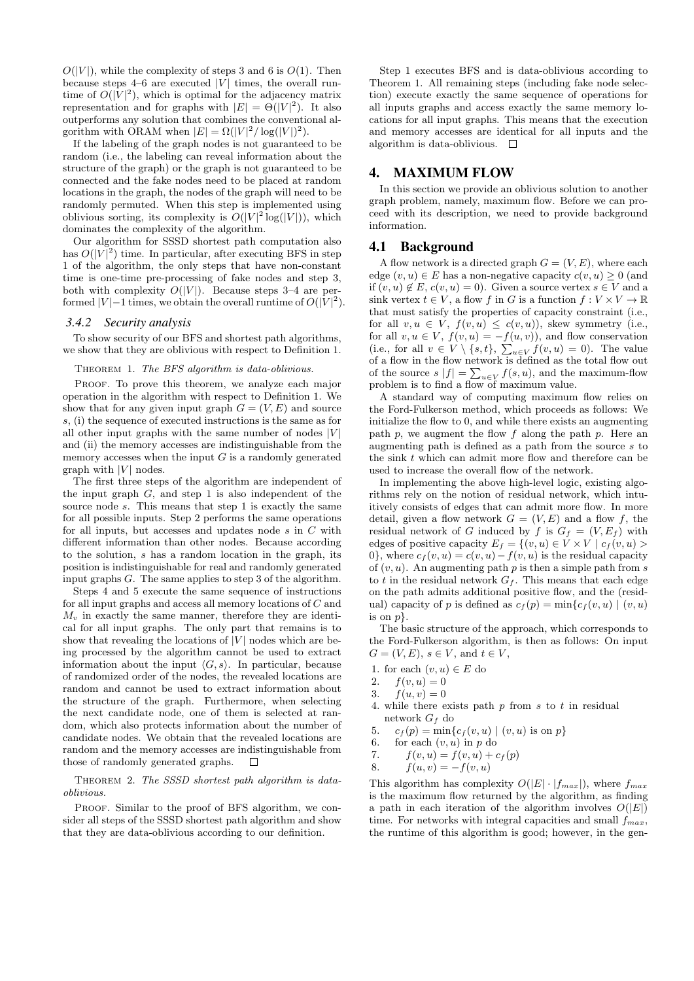$O(|V|)$ , while the complexity of steps 3 and 6 is  $O(1)$ . Then because steps  $4-6$  are executed |V| times, the overall runtime of  $O(|V|^2)$ , which is optimal for the adjacency matrix representation and for graphs with  $|E| = \Theta(|V|^2)$ . It also outperforms any solution that combines the conventional algorithm with ORAM when  $|E| = \Omega(|V|^2/\log(|V|)^2)$ .

If the labeling of the graph nodes is not guaranteed to be random (i.e., the labeling can reveal information about the structure of the graph) or the graph is not guaranteed to be connected and the fake nodes need to be placed at random locations in the graph, the nodes of the graph will need to be randomly permuted. When this step is implemented using oblivious sorting, its complexity is  $O(|V|^2 \log(|V|))$ , which dominates the complexity of the algorithm.

Our algorithm for SSSD shortest path computation also has  $O(|V|^2)$  time. In particular, after executing BFS in step 1 of the algorithm, the only steps that have non-constant time is one-time pre-processing of fake nodes and step 3, both with complexity  $O(|V|)$ . Because steps 3–4 are performed  $|V|-1$  times, we obtain the overall runtime of  $O(|V|^2)$ .

#### *3.4.2 Security analysis*

To show security of our BFS and shortest path algorithms, we show that they are oblivious with respect to Definition 1.

THEOREM 1. The BFS algorithm is data-oblivious.

PROOF. To prove this theorem, we analyze each major operation in the algorithm with respect to Definition 1. We show that for any given input graph  $G = (V, E)$  and source s, (i) the sequence of executed instructions is the same as for all other input graphs with the same number of nodes  $|V|$ and (ii) the memory accesses are indistinguishable from the memory accesses when the input  $G$  is a randomly generated graph with  $|V|$  nodes.

The first three steps of the algorithm are independent of the input graph  $G$ , and step 1 is also independent of the source node s. This means that step 1 is exactly the same for all possible inputs. Step 2 performs the same operations for all inputs, but accesses and updates node  $s$  in  $C$  with different information than other nodes. Because according to the solution, s has a random location in the graph, its position is indistinguishable for real and randomly generated input graphs G. The same applies to step 3 of the algorithm.

Steps 4 and 5 execute the same sequence of instructions for all input graphs and access all memory locations of C and  $M_{\rm v}$  in exactly the same manner, therefore they are identical for all input graphs. The only part that remains is to show that revealing the locations of  $|V|$  nodes which are being processed by the algorithm cannot be used to extract information about the input  $\langle G, s \rangle$ . In particular, because of randomized order of the nodes, the revealed locations are random and cannot be used to extract information about the structure of the graph. Furthermore, when selecting the next candidate node, one of them is selected at random, which also protects information about the number of candidate nodes. We obtain that the revealed locations are random and the memory accesses are indistinguishable from those of randomly generated graphs.  $\Box$ 

Theorem 2. The SSSD shortest path algorithm is dataoblivious.

PROOF. Similar to the proof of BFS algorithm, we consider all steps of the SSSD shortest path algorithm and show that they are data-oblivious according to our definition.

Step 1 executes BFS and is data-oblivious according to Theorem 1. All remaining steps (including fake node selection) execute exactly the same sequence of operations for all inputs graphs and access exactly the same memory locations for all input graphs. This means that the execution and memory accesses are identical for all inputs and the algorithm is data-oblivious.  $\square$ 

## 4. MAXIMUM FLOW

In this section we provide an oblivious solution to another graph problem, namely, maximum flow. Before we can proceed with its description, we need to provide background information.

#### 4.1 Background

A flow network is a directed graph  $G = (V, E)$ , where each edge  $(v, u) \in E$  has a non-negative capacity  $c(v, u) \geq 0$  (and if  $(v, u) \notin E$ ,  $c(v, u) = 0$ . Given a source vertex  $s \in V$  and a sink vertex  $t \in V$ , a flow f in G is a function  $f: V \times V \to \mathbb{R}$ that must satisfy the properties of capacity constraint (i.e., for all  $v, u \in V$ ,  $f(v, u) \leq c(v, u)$ , skew symmetry (i.e., for all  $v, u \in V$ ,  $f(v, u) = -f(u, v)$ , and flow conservation (i.e., for all  $v \in V \setminus \{s, t\}, \sum_{u \in V} f(v, u) = 0$ ). The value of a flow in the flow network is defined as the total flow out of the source  $s |f| = \sum_{u \in V} f(s, u)$ , and the maximum-flow problem is to find a flow of maximum value.

A standard way of computing maximum flow relies on the Ford-Fulkerson method, which proceeds as follows: We initialize the flow to 0, and while there exists an augmenting path  $p$ , we augment the flow  $f$  along the path  $p$ . Here an augmenting path is defined as a path from the source s to the sink t which can admit more flow and therefore can be used to increase the overall flow of the network.

In implementing the above high-level logic, existing algorithms rely on the notion of residual network, which intuitively consists of edges that can admit more flow. In more detail, given a flow network  $G = (V, E)$  and a flow f, the residual network of G induced by f is  $G_f = (V, E_f)$  with edges of positive capacity  $E_f = \{(v, u) \in V \times V \mid c_f(v, u) >$ 0}, where  $c_f(v, u) = c(v, u) - f(v, u)$  is the residual capacity of  $(v, u)$ . An augmenting path p is then a simple path from s to t in the residual network  $G_f$ . This means that each edge on the path admits additional positive flow, and the (residual) capacity of p is defined as  $c_f(p) = \min\{c_f(v, u) \mid (v, u)\}$ is on  $p$ .

The basic structure of the approach, which corresponds to the Ford-Fulkerson algorithm, is then as follows: On input  $G = (V, E), s \in V, \text{ and } t \in V,$ 

- 1. for each  $(v, u) \in E$  do
- 2.  $f(v, u) = 0$
- 3.  $f(u, v) = 0$
- 4. while there exists path  $p$  from  $s$  to  $t$  in residual network  $G_f$  do
- 5.  $c_f(p) = \min\{c_f(v, u) \mid (v, u) \text{ is on } p\}$
- 6. for each  $(v, u)$  in  $p$  do
- 7.  $f(v, u) = f(v, u) + c_f(p)$
- 8.  $f(u, v) = -f(v, u)$

This algorithm has complexity  $O(|E| \cdot |f_{max}|)$ , where  $f_{max}$ is the maximum flow returned by the algorithm, as finding a path in each iteration of the algorithm involves  $O(|E|)$ time. For networks with integral capacities and small  $f_{max}$ , the runtime of this algorithm is good; however, in the gen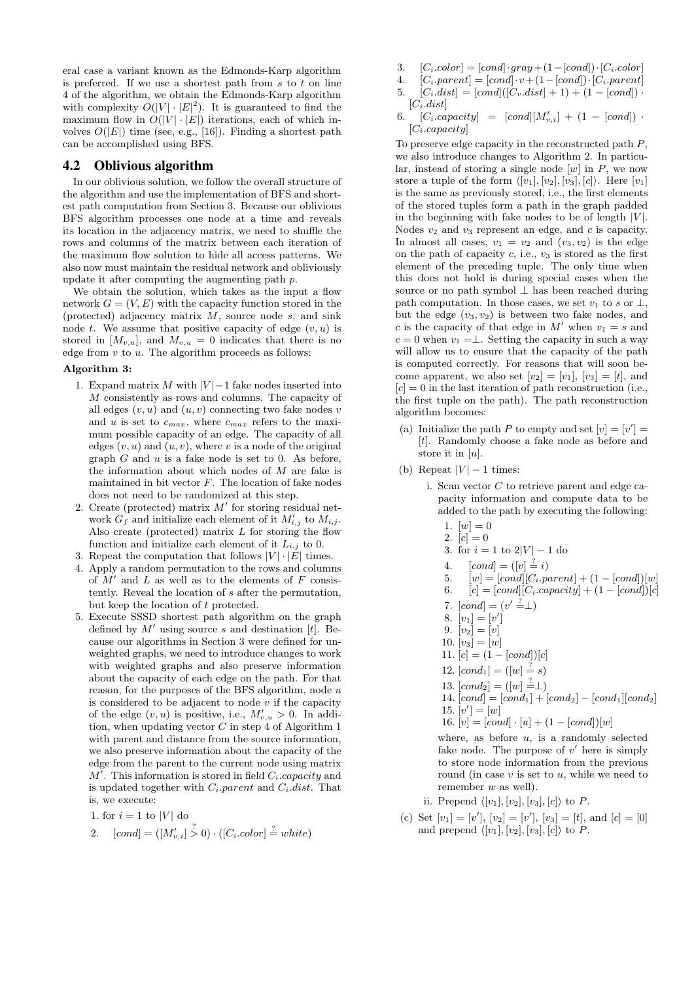eral case a variant known as the Edmonds-Karp algorithm is preferred. If we use a shortest path from  $s$  to  $t$  on line 4 of the algorithm, we obtain the Edmonds-Karp algorithm with complexity  $O(|V| \cdot |E|^2)$ . It is guaranteed to find the maximum flow in  $O(|V| \cdot |E|)$  iterations, each of which involves  $O(|E|)$  time (see, e.g., [16]). Finding a shortest path can be accomplished using BFS.

## 4.2 Oblivious algorithm

In our oblivious solution, we follow the overall structure of the algorithm and use the implementation of BFS and shortest path computation from Section 3. Because our oblivious BFS algorithm processes one node at a time and reveals its location in the adjacency matrix, we need to shuffle the rows and columns of the matrix between each iteration of the maximum flow solution to hide all access patterns. We also now must maintain the residual network and obliviously update it after computing the augmenting path p.

We obtain the solution, which takes as the input a flow network  $G = (V, E)$  with the capacity function stored in the (protected) adjacency matrix  $M$ , source node  $s$ , and sink node t. We assume that positive capacity of edge  $(v, u)$  is stored in  $[M_{v,u}]$ , and  $M_{v,u} = 0$  indicates that there is no edge from  $v$  to  $u$ . The algorithm proceeds as follows:

#### Algorithm 3:

- 1. Expand matrix M with  $|V| 1$  fake nodes inserted into M consistently as rows and columns. The capacity of all edges  $(v, u)$  and  $(u, v)$  connecting two fake nodes  $v$ and u is set to  $c_{max}$ , where  $c_{max}$  refers to the maximum possible capacity of an edge. The capacity of all edges  $(v, u)$  and  $(u, v)$ , where v is a node of the original graph  $G$  and  $u$  is a fake node is set to 0. As before, the information about which nodes of M are fake is maintained in bit vector  $F$ . The location of fake nodes does not need to be randomized at this step.
- 2. Create (protected) matrix  $M'$  for storing residual network  $G_f$  and initialize each element of it  $M'_{i,j}$  to  $M_{i,j}$ . Also create (protected) matrix L for storing the flow function and initialize each element of it  $L_{i,j}$  to 0.
- 3. Repeat the computation that follows  $|V| \cdot |E|$  times.
- 4. Apply a random permutation to the rows and columns of  $M'$  and  $L$  as well as to the elements of  $F$  consistently. Reveal the location of s after the permutation, but keep the location of t protected.
- 5. Execute SSSD shortest path algorithm on the graph defined by  $M'$  using source s and destination [t]. Because our algorithms in Section 3 were defined for unweighted graphs, we need to introduce changes to work with weighted graphs and also preserve information about the capacity of each edge on the path. For that reason, for the purposes of the BFS algorithm, node  $u$ is considered to be adjacent to node  $v$  if the capacity of the edge  $(v, u)$  is positive, i.e.,  $M'_{v, u} > 0$ . In addition, when updating vector  $C$  in step 4 of Algorithm 1 with parent and distance from the source information, we also preserve information about the capacity of the edge from the parent to the current node using matrix  $M^{\overline{\ell}}$ . This information is stored in field  $C_i$  capacity and is updated together with  $C_i.parent$  and  $C_i_dist$ . That is, we execute:
	- 1. for  $i = 1$  to |V| do

2. 
$$
[cond] = ([M'_{v,i}] \overset{?}{>} 0) \cdot ([C_i-color] \overset{?}{=} white)
$$

- 3.  $[C_icolor] = [cond]·gray+(1-[cond])·[C_icolor]$
- 4.  $[C_i.parent] = [cond] \cdot v + (1 [cond]) \cdot [C_i.parent]$
- 5.  $[C_i.dist] = [cond]([C_v.dist] + 1) + (1 [cond])$  $[C_i.dist]$
- 6.  $[C_i.capacity] = [cond][M'_{v,i}] + (1 [cond])$  $[C_i.capacity]$

To preserve edge capacity in the reconstructed path  $P$ , we also introduce changes to Algorithm 2. In particular, instead of storing a single node  $[w]$  in P, we now store a tuple of the form  $\langle [v_1], [v_2], [v_3], [c] \rangle$ . Here  $[v_1]$ is the same as previously stored, i.e., the first elements of the stored tuples form a path in the graph padded in the beginning with fake nodes to be of length  $|V|$ . Nodes  $v_2$  and  $v_3$  represent an edge, and c is capacity. In almost all cases,  $v_1 = v_2$  and  $(v_3, v_2)$  is the edge on the path of capacity  $c$ , i.e.,  $v_3$  is stored as the first element of the preceding tuple. The only time when this does not hold is during special cases when the source or no path symbol ⊥ has been reached during path computation. In those cases, we set  $v_1$  to s or  $\perp$ , but the edge  $(v_3, v_2)$  is between two fake nodes, and c is the capacity of that edge in M' when  $v_1 = s$  and  $c = 0$  when  $v_1 = \perp$ . Setting the capacity in such a way will allow us to ensure that the capacity of the path is computed correctly. For reasons that will soon become apparent, we also set  $[v_2] = [v_1]$ ,  $[v_3] = [t]$ , and  $[c] = 0$  in the last iteration of path reconstruction (i.e., the first tuple on the path). The path reconstruction algorithm becomes:

- (a) Initialize the path P to empty and set  $[v] = [v']$ [t]. Randomly choose a fake node as before and store it in  $[u]$ .
- (b) Repeat  $|V| 1$  times:
	- i. Scan vector C to retrieve parent and edge capacity information and compute data to be added to the path by executing the following:
		- 1.  $[w] = 0$
		- 2.  $[c] = 0$ 3. for  $i = 1$  to  $2|V| - 1$  do
		-
		- 4.  $[cond] = ([v] \stackrel{?}{=} i)$
		- 5.  $[w] = [cond][C_i.parent] + (1 [cond])[w]$ 6.  $[c] = [cond][C_i.capacity] + (1 - [cond])[c]$
		- 7.  $[cond] = (v' \stackrel{?}{=} \perp)$
		- 8.  $[v_1] = [v']$
		- 9.  $[v_2] = [v]$
		- 10.  $[v_3] = [w]$
		- 11.  $[c] = (1 [cond])[c]$
		- 12.  $[cond_1] = ([w] \stackrel{?}{=} s)$
		- 13.  $[cond_2] = ([w] \stackrel{?}{=} \perp)$
		- 14.  $[cond] = [cond_1] + [cond_2] [cond_1][cond_2]$
		- 15.  $[v'] = [w]$
		- 16.  $[v] = [cond] \cdot [u] + (1 [cond])[w]$

where, as before  $u$ , is a randomly selected fake node. The purpose of  $v'$  here is simply to store node information from the previous round (in case  $v$  is set to  $u$ , while we need to remember w as well).

- ii. Prepend  $\langle [v_1], [v_2], [v_3], [c] \rangle$  to P.
- (c) Set  $[v_1] = [v']$ ,  $[v_2] = [v']$ ,  $[v_3] = [t]$ , and  $[c] = [0]$ and prepend  $\langle [v_1], [v_2], [v_3], [c] \rangle$  to P.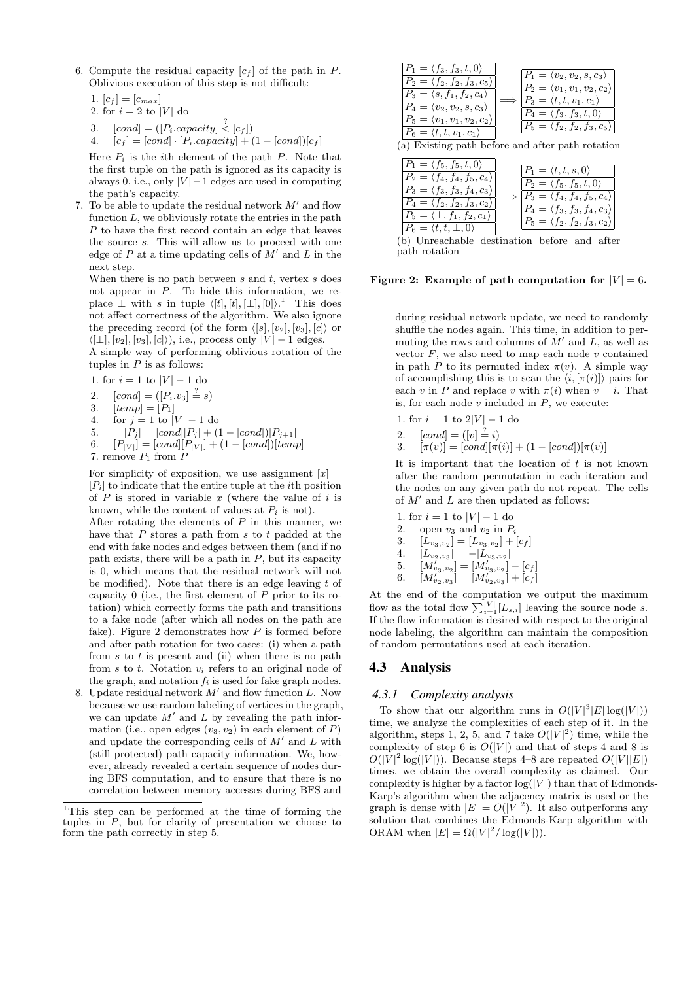6. Compute the residual capacity  $[c_f]$  of the path in P. Oblivious execution of this step is not difficult:

1.  $[c_f] = [c_{max}]$ 

- 2. for  $i = 2$  to |V| do
- 3.  $[cond] = ([P_i.capacity] \stackrel{?}{\leq} [c_f])$

4. 
$$
[c_f] = [cond] \cdot [P_i.capacity] + (1 - [cond])[c_f]
$$

Here  $P_i$  is the *i*th element of the path P. Note that the first tuple on the path is ignored as its capacity is always 0, i.e., only  $|V| - 1$  edges are used in computing the path's capacity.

7. To be able to update the residual network  $M'$  and flow function  $L$ , we obliviously rotate the entries in the path P to have the first record contain an edge that leaves the source s. This will allow us to proceed with one edge of  $P$  at a time updating cells of  $M'$  and  $L$  in the next step.

When there is no path between  $s$  and  $t$ , vertex  $s$  does not appear in  $P$ . To hide this information, we replace  $\perp$  with s in tuple  $\langle [t], [t], [\perp], [0] \rangle$ .<sup>1</sup> This does not affect correctness of the algorithm. We also ignore the preceding record (of the form  $\langle [s], [v_2], [v_3], [c] \rangle$  or  $\langle [\perp], [v_2], [v_3], [c] \rangle$ , i.e., process only  $|V| - 1$  edges.

A simple way of performing oblivious rotation of the tuples in  $P$  is as follows:

1. for  $i = 1$  to  $|V| - 1$  do

- 2.  $[cond] = ([P_i.v_3] \stackrel{?}{=} s)$
- 3.  $[temp] = [P_1]$
- 4. for  $j = 1$  to  $|V| 1$  do
- 5.  $[P_j] = [cond][P_j] + (1 [cond])[P_{j+1}]$
- 6.  $[P_{|V|}] = [cond][P_{|V|}] + (1 [cond])[temp]$
- 7. remove  $P_1$  from  $P$

For simplicity of exposition, we use assignment  $[x] =$  $[P_i]$  to indicate that the entire tuple at the *i*th position of  $P$  is stored in variable  $x$  (where the value of  $i$  is known, while the content of values at  $P_i$  is not).

After rotating the elements of  $P$  in this manner, we have that  $P$  stores a path from  $s$  to  $t$  padded at the end with fake nodes and edges between them (and if no path exists, there will be a path in  $P$ , but its capacity is 0, which means that the residual network will not be modified). Note that there is an edge leaving  $t$  of capacity  $0$  (i.e., the first element of  $P$  prior to its rotation) which correctly forms the path and transitions to a fake node (after which all nodes on the path are fake). Figure 2 demonstrates how  $P$  is formed before and after path rotation for two cases: (i) when a path from  $s$  to  $t$  is present and (ii) when there is no path from  $s$  to  $t$ . Notation  $v_i$  refers to an original node of the graph, and notation  $f_i$  is used for fake graph nodes.

8. Update residual network  $M'$  and flow function  $L$ . Now because we use random labeling of vertices in the graph, we can update  $M'$  and  $L$  by revealing the path information (i.e., open edges  $(v_3, v_2)$  in each element of P) and update the corresponding cells of  $M'$  and  $L$  with (still protected) path capacity information. We, however, already revealed a certain sequence of nodes during BFS computation, and to ensure that there is no correlation between memory accesses during BFS and

| $ P_1 = \langle f_3, f_3, t, 0 \rangle$     | $P_1 = \langle v_2, v_2, s, c_3 \rangle$       |
|---------------------------------------------|------------------------------------------------|
| $ P_2 = \langle f_2, f_2, f_3, c_5 \rangle$ | $ P_2 = \langle v_1, v_1, v_2, c_2 \rangle $   |
| $ P_3 = \langle s, f_1, f_2, c_4 \rangle$   | $ P_3 = \langle t, t, v_1, c_1 \rangle$        |
| $ P_4 = \langle v_2, v_2, s, c_3 \rangle$   | $ P_4\rangle = \langle f_3, f_3, t, 0 \rangle$ |
| $P_5 = \langle v_1, v_1, v_2, c_2 \rangle$  | $ P_5 = \langle f_2, f_2, f_3, c_5 \rangle $   |
| $ P_6 = \langle t, t, v_1, c_1 \rangle$     |                                                |

(a) Existing path before and after path rotation

| $P_1 = \langle f_5, f_5, t, 0 \rangle$       |  |                                              |  |
|----------------------------------------------|--|----------------------------------------------|--|
|                                              |  | $P_1 = \langle t, t, s, 0 \rangle$           |  |
| $P_2 = \langle f_4, f_4, f_5, c_4 \rangle$   |  |                                              |  |
|                                              |  | $ P_2 = \langle f_5, f_5, t, 0 \rangle$      |  |
| $P_3 = \langle f_3, f_3, f_4, c_3 \rangle$   |  |                                              |  |
|                                              |  | $ P_3 = \langle f_4, f_4, f_5, c_4 \rangle$  |  |
| $P_4 = \langle f_2, f_2, f_3, c_2 \rangle$   |  |                                              |  |
|                                              |  | $ P_4 = \langle f_3, f_3, f_4, c_3 \rangle $ |  |
| $P_5 = \langle \perp, f_1, f_2, c_1 \rangle$ |  |                                              |  |
|                                              |  | $ P_5 = \langle f_2, f_2, f_3, c_2 \rangle $ |  |
| $P_6 = \langle t, t, \perp, 0 \rangle$       |  |                                              |  |
| $\lambda$ $\tau$                             |  |                                              |  |

(b) Unreachable destination before and after path rotation

#### Figure 2: Example of path computation for  $|V| = 6$ .

during residual network update, we need to randomly shuffle the nodes again. This time, in addition to permuting the rows and columns of  $M'$  and  $L$ , as well as vector  $\overline{F}$ , we also need to map each node v contained in path P to its permuted index  $\pi(v)$ . A simple way of accomplishing this is to scan the  $\langle i, [\pi(i)] \rangle$  pairs for each v in P and replace v with  $\pi(i)$  when  $v = i$ . That is, for each node  $v$  included in  $P$ , we execute:

1. for 
$$
i = 1
$$
 to  $2|V| - 1$  do

$$
2. \quad [cond] = ([v] = i)
$$

3.  $[\pi(v)] = [cond][\pi(i)] + (1 - [cond])[\pi(v)]$ 

It is important that the location of  $t$  is not known after the random permutation in each iteration and the nodes on any given path do not repeat. The cells of  $M'$  and  $L$  are then updated as follows:

1. for 
$$
i = 1
$$
 to  $|V| - 1$  do  
\n2. open  $v_3$  and  $v_2$  in  $P_i$   
\n3.  $[L_{v_3,v_2}] = [L_{v_3,v_2}] + [c_f]$   
\n4.  $[L_{v_2,v_3}] = -[L_{v_3,v_2}]$   
\n5.  $[M'_{v_3,v_2}] = [M'_{v_3,v_2}] - [c_f]$   
\n6.  $[M'_{v_2,v_3}] = [M'_{v_2,v_3}] + [c_f]$ 

At the end of the computation we output the maximum flow as the total flow  $\sum_{i=1}^{|V|} [L_{s,i}]$  leaving the source node s. If the flow information is desired with respect to the original node labeling, the algorithm can maintain the composition of random permutations used at each iteration.

## 4.3 Analysis

#### *4.3.1 Complexity analysis*

To show that our algorithm runs in  $O(|V|^3|E|\log(|V|))$ time, we analyze the complexities of each step of it. In the algorithm, steps 1, 2, 5, and 7 take  $O(|V|^2)$  time, while the complexity of step 6 is  $O(|V|)$  and that of steps 4 and 8 is  $O(|V|^2 \log(|V|))$ . Because steps 4–8 are repeated  $O(|V||E|)$ times, we obtain the overall complexity as claimed. Our complexity is higher by a factor  $log(|V|)$  than that of Edmonds-Karp's algorithm when the adjacency matrix is used or the graph is dense with  $|E| = O(|V|^2)$ . It also outperforms any solution that combines the Edmonds-Karp algorithm with ORAM when  $|E| = \Omega(|V|^2/\log(|V|)).$ 

<sup>1</sup>This step can be performed at the time of forming the tuples in  $P$ , but for clarity of presentation we choose to form the path correctly in step 5.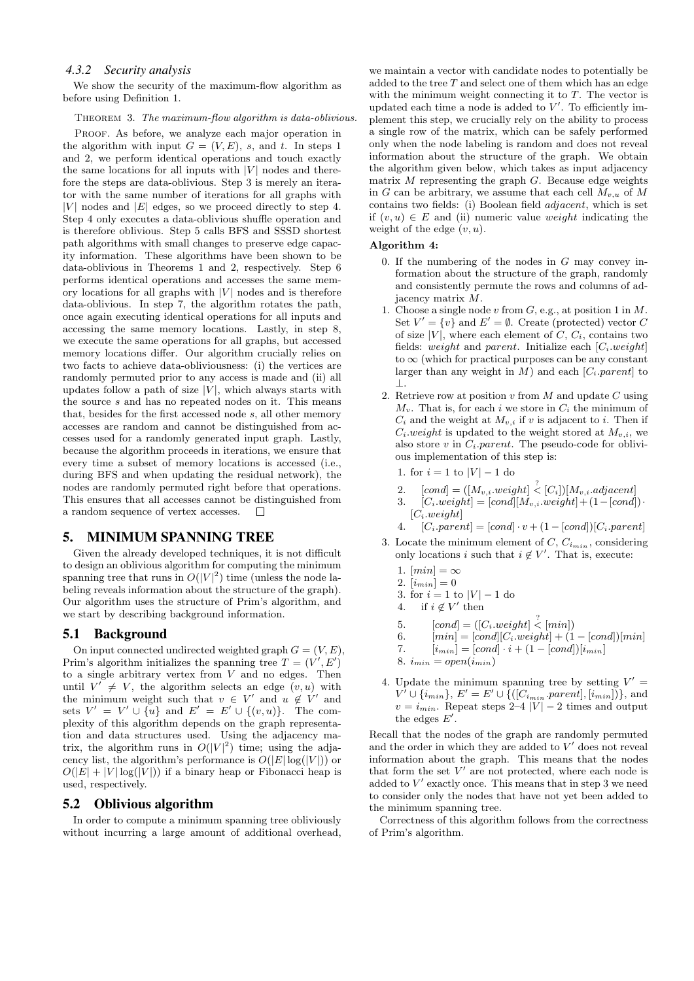#### *4.3.2 Security analysis*

We show the security of the maximum-flow algorithm as before using Definition 1.

THEOREM 3. The maximum-flow algorithm is data-oblivious.

PROOF. As before, we analyze each major operation in the algorithm with input  $G = (V, E)$ , s, and t. In steps 1 and 2, we perform identical operations and touch exactly the same locations for all inputs with  $|V|$  nodes and therefore the steps are data-oblivious. Step 3 is merely an iterator with the same number of iterations for all graphs with  $|V|$  nodes and  $|E|$  edges, so we proceed directly to step 4. Step 4 only executes a data-oblivious shuffle operation and is therefore oblivious. Step 5 calls BFS and SSSD shortest path algorithms with small changes to preserve edge capacity information. These algorithms have been shown to be data-oblivious in Theorems 1 and 2, respectively. Step 6 performs identical operations and accesses the same memory locations for all graphs with  $\left|V\right|$  nodes and is therefore data-oblivious. In step 7, the algorithm rotates the path, once again executing identical operations for all inputs and accessing the same memory locations. Lastly, in step 8, we execute the same operations for all graphs, but accessed memory locations differ. Our algorithm crucially relies on two facts to achieve data-obliviousness: (i) the vertices are randomly permuted prior to any access is made and (ii) all updates follow a path of size  $|V|$ , which always starts with the source s and has no repeated nodes on it. This means that, besides for the first accessed node s, all other memory accesses are random and cannot be distinguished from accesses used for a randomly generated input graph. Lastly, because the algorithm proceeds in iterations, we ensure that every time a subset of memory locations is accessed (i.e., during BFS and when updating the residual network), the nodes are randomly permuted right before that operations. This ensures that all accesses cannot be distinguished from a random sequence of vertex accesses.  $\Box$ 

#### 5. MINIMUM SPANNING TREE

Given the already developed techniques, it is not difficult to design an oblivious algorithm for computing the minimum spanning tree that runs in  $O(|V|^2)$  time (unless the node labeling reveals information about the structure of the graph). Our algorithm uses the structure of Prim's algorithm, and we start by describing background information.

# 5.1 Background

On input connected undirected weighted graph  $G = (V, E)$ , Prim's algorithm initializes the spanning tree  $T = (V', E')$ to a single arbitrary vertex from  $V$  and no edges. Then until  $V' \neq V$ , the algorithm selects an edge  $(v, u)$  with the minimum weight such that  $v \in V'$  and  $u \notin V'$  and sets  $V' = V' \cup \{u\}$  and  $E' = E' \cup \{(v, u)\}.$  The complexity of this algorithm depends on the graph representation and data structures used. Using the adjacency matrix, the algorithm runs in  $O(|V|^2)$  time; using the adjacency list, the algorithm's performance is  $O(|E| \log(|V|))$  or  $O(|E| + |V| \log(|V|))$  if a binary heap or Fibonacci heap is used, respectively.

#### 5.2 Oblivious algorithm

In order to compute a minimum spanning tree obliviously without incurring a large amount of additional overhead,

we maintain a vector with candidate nodes to potentially be added to the tree  $T$  and select one of them which has an edge with the minimum weight connecting it to  $T$ . The vector is updated each time a node is added to  $V'$ . To efficiently implement this step, we crucially rely on the ability to process a single row of the matrix, which can be safely performed only when the node labeling is random and does not reveal information about the structure of the graph. We obtain the algorithm given below, which takes as input adjacency matrix  $M$  representing the graph  $G$ . Because edge weights in G can be arbitrary, we assume that each cell  $M_{v,u}$  of M contains two fields: (i) Boolean field adjacent, which is set if  $(v, u) \in E$  and (ii) numeric value *weight* indicating the weight of the edge  $(v, u)$ .

#### Algorithm 4:

- 0. If the numbering of the nodes in  $G$  may convey information about the structure of the graph, randomly and consistently permute the rows and columns of adjacency matrix M.
- 1. Choose a single node v from  $G$ , e.g., at position 1 in  $M$ . Set  $V' = \{v\}$  and  $E' = \emptyset$ . Create (protected) vector C of size  $|V|$ , where each element of  $C, C_i$ , contains two fields: weight and parent. Initialize each  $[C_i.weight]$ to  $\infty$  (which for practical purposes can be any constant larger than any weight in M) and each  $[C_i.parent]$  to ⊥.
- 2. Retrieve row at position v from M and update C using  $M_v$ . That is, for each i we store in  $C_i$  the minimum of  $C_i$  and the weight at  $M_{v,i}$  if v is adjacent to i. Then if  $C_i.weight$  is updated to the weight stored at  $M_{v,i}$ , we also store v in  $C_i.parent$ . The pseudo-code for oblivious implementation of this step is:
	- 1. for  $i = 1$  to  $|V| 1$  do
	- 2.  $[cond] = ([M_{v,i}.weight] \stackrel{?}{\leq} [C_i])[M_{v,i}.adjacent]$
	- 3.  $[C_i.weight] = [cond][M_{v,i}.weight] + (1-[cond])$  $[C_i.weight]$
	- 4.  $[C_i.parent] = [cond] \cdot v + (1 [cond])[C_i.parent]$
- 3. Locate the minimum element of  $C, C_{i_{min}}$ , considering only locations i such that  $i \notin V'$ . That is, execute:
	- 1.  $\lceil min \rceil = \infty$
	- 2.  $[i_{min}] = 0$
	- 3. for  $i = 1$  to  $|V| 1$  do
	- 4. if  $i \notin V'$  then
	- 5.  $[cond] = ([C_i-weight] \stackrel{?}{\leq} [min])$
	- 6.  $[min] = [cond][C_i.weight] + (1 [cond])[min]$
	- 7.  $[i_{min}] = [cond] \cdot i + (1 [cond])[i_{min}]$
	- 8.  $i_{min} = open(i_{min})$
- 4. Update the minimum spanning tree by setting  $V' =$  $V^{\bar{\jmath}} \cup \{i_{min}\}, E' = E' \cup \{([C_{i_{min}}.parent],[i_{min}]\}),\$  and  $v = i_{min}$ . Repeat steps 2–4  $|V| - 2$  times and output the edges  $E'$ .

Recall that the nodes of the graph are randomly permuted and the order in which they are added to  $V'$  does not reveal information about the graph. This means that the nodes that form the set  $V'$  are not protected, where each node is added to  $V'$  exactly once. This means that in step 3 we need to consider only the nodes that have not yet been added to the minimum spanning tree.

Correctness of this algorithm follows from the correctness of Prim's algorithm.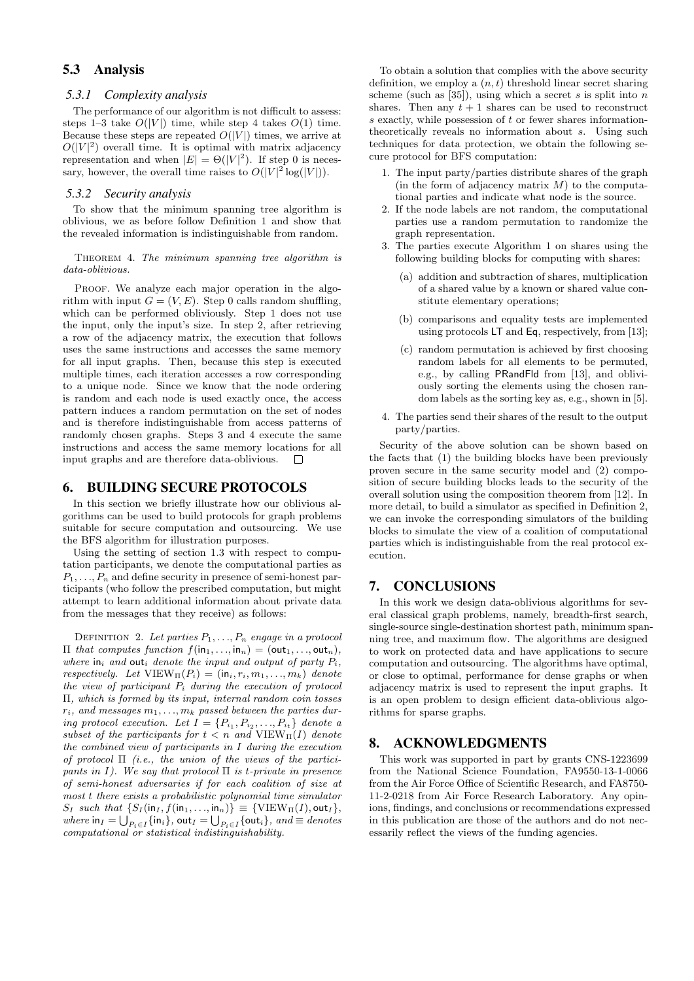# 5.3 Analysis

#### *5.3.1 Complexity analysis*

The performance of our algorithm is not difficult to assess: steps 1–3 take  $O(|V|)$  time, while step 4 takes  $O(1)$  time. Because these steps are repeated  $O(|V|)$  times, we arrive at  $O(|V|^2)$  overall time. It is optimal with matrix adjacency representation and when  $|E| = \Theta(|V|^2)$ . If step 0 is necessary, however, the overall time raises to  $O(|V|^2 \log(|V|)).$ 

#### *5.3.2 Security analysis*

To show that the minimum spanning tree algorithm is oblivious, we as before follow Definition 1 and show that the revealed information is indistinguishable from random.

THEOREM 4. The minimum spanning tree algorithm is data-oblivious.

PROOF. We analyze each major operation in the algorithm with input  $G = (V, E)$ . Step 0 calls random shuffling, which can be performed obliviously. Step 1 does not use the input, only the input's size. In step 2, after retrieving a row of the adjacency matrix, the execution that follows uses the same instructions and accesses the same memory for all input graphs. Then, because this step is executed multiple times, each iteration accesses a row corresponding to a unique node. Since we know that the node ordering is random and each node is used exactly once, the access pattern induces a random permutation on the set of nodes and is therefore indistinguishable from access patterns of randomly chosen graphs. Steps 3 and 4 execute the same instructions and access the same memory locations for all input graphs and are therefore data-oblivious.  $\Box$ 

## 6. BUILDING SECURE PROTOCOLS

In this section we briefly illustrate how our oblivious algorithms can be used to build protocols for graph problems suitable for secure computation and outsourcing. We use the BFS algorithm for illustration purposes.

Using the setting of section 1.3 with respect to computation participants, we denote the computational parties as  $P_1, \ldots, P_n$  and define security in presence of semi-honest participants (who follow the prescribed computation, but might attempt to learn additional information about private data from the messages that they receive) as follows:

DEFINITION 2. Let parties  $P_1, \ldots, P_n$  engage in a protocol  $\Pi$  that computes function  $f(in_1, \ldots, in_n) = (out_1, \ldots, out_n),$ where in<sub>i</sub> and out<sub>i</sub> denote the input and output of party  $P_i$ , respectively. Let  $VIEW_{\Pi}(P_i) = (in_i, r_i, m_1, \ldots, m_k)$  denote the view of participant  $P_i$  during the execution of protocol Π, which is formed by its input, internal random coin tosses  $r_i$ , and messages  $m_1, \ldots, m_k$  passed between the parties during protocol execution. Let  $I = \{P_{i_1}, P_{i_2}, \ldots, P_{i_t}\}\$  denote a subset of the participants for  $t < n$  and  $VIEW_{\Pi}(I)$  denote the combined view of participants in  $I$  during the execution of protocol  $\Pi$  (i.e., the union of the views of the participants in I). We say that protocol  $\Pi$  is t-private in presence of semi-honest adversaries if for each coalition of size at most t there exists a probabilistic polynomial time simulator  $S_I$  such that  $\{S_I(\mathsf{in}_I, f(\mathsf{in}_1, \ldots, \mathsf{in}_n)\}\equiv \{\text{VIEW}_{\Pi}(I), \text{out}_I\},\$ where  $\text{in}_I = \bigcup_{P_i \in I} \{\text{in}_i\}$ ,  $\text{out}_I = \bigcup_{P_i \in I} \{\text{out}_i\}$ ,  $and \equiv denotes$ computational or statistical indistinguishability.

To obtain a solution that complies with the above security definition, we employ a  $(n, t)$  threshold linear secret sharing scheme (such as  $[35]$ ), using which a secret s is split into n shares. Then any  $t + 1$  shares can be used to reconstruct s exactly, while possession of t or fewer shares informationtheoretically reveals no information about s. Using such techniques for data protection, we obtain the following secure protocol for BFS computation:

- 1. The input party/parties distribute shares of the graph (in the form of adjacency matrix  $M$ ) to the computational parties and indicate what node is the source.
- 2. If the node labels are not random, the computational parties use a random permutation to randomize the graph representation.
- 3. The parties execute Algorithm 1 on shares using the following building blocks for computing with shares:
	- (a) addition and subtraction of shares, multiplication of a shared value by a known or shared value constitute elementary operations;
	- (b) comparisons and equality tests are implemented using protocols LT and Eq, respectively, from [13];
	- (c) random permutation is achieved by first choosing random labels for all elements to be permuted, e.g., by calling PRandFld from [13], and obliviously sorting the elements using the chosen random labels as the sorting key as, e.g., shown in [5].
- 4. The parties send their shares of the result to the output party/parties.

Security of the above solution can be shown based on the facts that (1) the building blocks have been previously proven secure in the same security model and (2) composition of secure building blocks leads to the security of the overall solution using the composition theorem from [12]. In more detail, to build a simulator as specified in Definition 2, we can invoke the corresponding simulators of the building blocks to simulate the view of a coalition of computational parties which is indistinguishable from the real protocol execution.

## 7. CONCLUSIONS

In this work we design data-oblivious algorithms for several classical graph problems, namely, breadth-first search, single-source single-destination shortest path, minimum spanning tree, and maximum flow. The algorithms are designed to work on protected data and have applications to secure computation and outsourcing. The algorithms have optimal, or close to optimal, performance for dense graphs or when adjacency matrix is used to represent the input graphs. It is an open problem to design efficient data-oblivious algorithms for sparse graphs.

## 8. ACKNOWLEDGMENTS

This work was supported in part by grants CNS-1223699 from the National Science Foundation, FA9550-13-1-0066 from the Air Force Office of Scientific Research, and FA8750- 11-2-0218 from Air Force Research Laboratory. Any opinions, findings, and conclusions or recommendations expressed in this publication are those of the authors and do not necessarily reflect the views of the funding agencies.